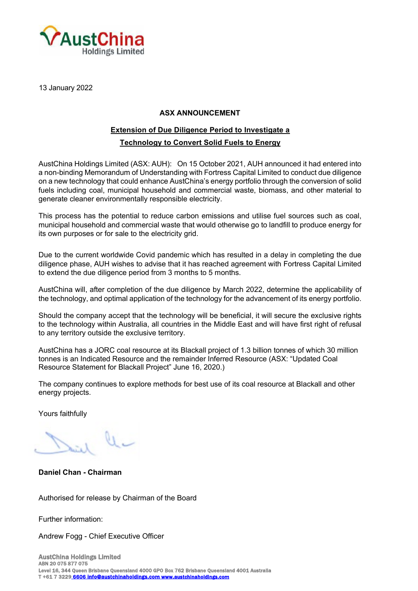

13 January 2022

## **ASX ANNOUNCEMENT**

## **Extension of Due Diligence Period to Investigate a**

## **Technology to Convert Solid Fuels to Energy**

AustChina Holdings Limited (ASX: AUH): On 15 October 2021, AUH announced it had entered into a non-binding Memorandum of Understanding with Fortress Capital Limited to conduct due diligence on a new technology that could enhance AustChina's energy portfolio through the conversion of solid fuels including coal, municipal household and commercial waste, biomass, and other material to generate cleaner environmentally responsible electricity.

This process has the potential to reduce carbon emissions and utilise fuel sources such as coal, municipal household and commercial waste that would otherwise go to landfill to produce energy for its own purposes or for sale to the electricity grid.

Due to the current worldwide Covid pandemic which has resulted in a delay in completing the due diligence phase, AUH wishes to advise that it has reached agreement with Fortress Capital Limited to extend the due diligence period from 3 months to 5 months.

AustChina will, after completion of the due diligence by March 2022, determine the applicability of the technology, and optimal application of the technology for the advancement of its energy portfolio.

Should the company accept that the technology will be beneficial, it will secure the exclusive rights to the technology within Australia, all countries in the Middle East and will have first right of refusal to any territory outside the exclusive territory.

AustChina has a JORC coal resource at its Blackall project of 1.3 billion tonnes of which 30 million tonnes is an Indicated Resource and the remainder Inferred Resource (ASX: "Updated Coal Resource Statement for Blackall Project" June 16, 2020.)

The company continues to explore methods for best use of its coal resource at Blackall and other energy projects.

Yours faithfully

**Daniel Chan - Chairman**

Authorised for release by Chairman of the Board

Further information:

Andrew Fogg - Chief Executive Officer